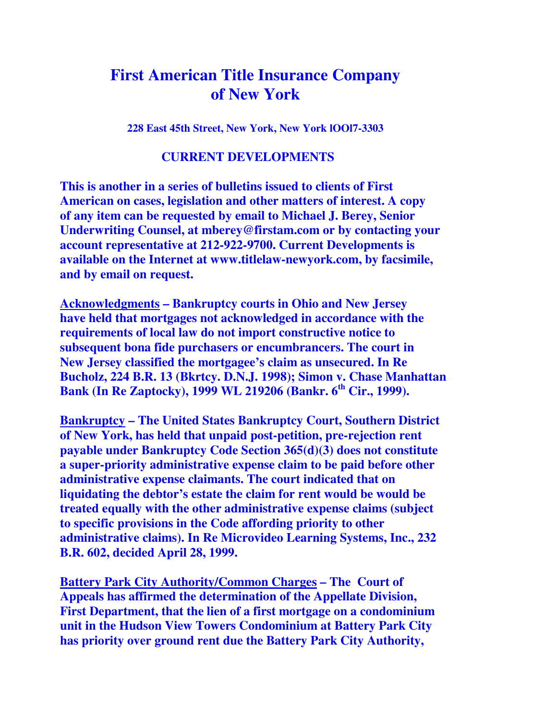## **First American Title Insurance Company of New York**

**228 East 45th Street, New York, New York lOOl7-3303**

## **CURRENT DEVELOPMENTS**

**This is another in a series of bulletins issued to clients of First American on cases, legislation and other matters of interest. A copy of any item can be requested by email to Michael J. Berey, Senior Underwriting Counsel, at mberey@firstam.com or by contacting your account representative at 212-922-9700. Current Developments is available on the Internet at www.titlelaw-newyork.com, by facsimile, and by email on request.** 

**Acknowledgments – Bankruptcy courts in Ohio and New Jersey have held that mortgages not acknowledged in accordance with the requirements of local law do not import constructive notice to subsequent bona fide purchasers or encumbrancers. The court in New Jersey classified the mortgagee's claim as unsecured. In Re Bucholz, 224 B.R. 13 (Bkrtcy. D.N.J. 1998); Simon v. Chase Manhattan Bank (In Re Zaptocky), 1999 WL 219206 (Bankr. 6th Cir., 1999).** 

**Bankruptcy – The United States Bankruptcy Court, Southern District of New York, has held that unpaid post-petition, pre-rejection rent payable under Bankruptcy Code Section 365(d)(3) does not constitute a super-priority administrative expense claim to be paid before other administrative expense claimants. The court indicated that on liquidating the debtor's estate the claim for rent would be would be treated equally with the other administrative expense claims (subject to specific provisions in the Code affording priority to other administrative claims). In Re Microvideo Learning Systems, Inc., 232 B.R. 602, decided April 28, 1999.** 

**Battery Park City Authority/Common Charges – The Court of Appeals has affirmed the determination of the Appellate Division, First Department, that the lien of a first mortgage on a condominium unit in the Hudson View Towers Condominium at Battery Park City has priority over ground rent due the Battery Park City Authority,**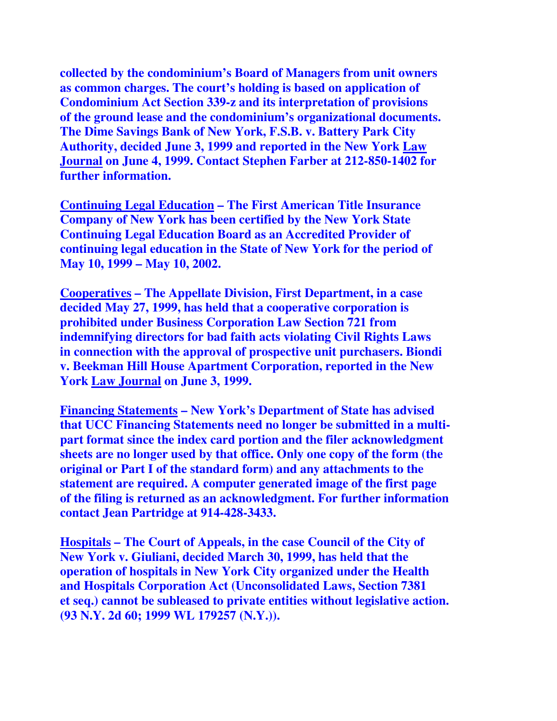**collected by the condominium's Board of Managers from unit owners as common charges. The court's holding is based on application of Condominium Act Section 339-z and its interpretation of provisions of the ground lease and the condominium's organizational documents. The Dime Savings Bank of New York, F.S.B. v. Battery Park City Authority, decided June 3, 1999 and reported in the New York Law Journal on June 4, 1999. Contact Stephen Farber at 212-850-1402 for further information.** 

**Continuing Legal Education – The First American Title Insurance Company of New York has been certified by the New York State Continuing Legal Education Board as an Accredited Provider of continuing legal education in the State of New York for the period of May 10, 1999 – May 10, 2002.** 

**Cooperatives – The Appellate Division, First Department, in a case decided May 27, 1999, has held that a cooperative corporation is prohibited under Business Corporation Law Section 721 from indemnifying directors for bad faith acts violating Civil Rights Laws in connection with the approval of prospective unit purchasers. Biondi v. Beekman Hill House Apartment Corporation, reported in the New York Law Journal on June 3, 1999.** 

**Financing Statements – New York's Department of State has advised that UCC Financing Statements need no longer be submitted in a multipart format since the index card portion and the filer acknowledgment sheets are no longer used by that office. Only one copy of the form (the original or Part I of the standard form) and any attachments to the statement are required. A computer generated image of the first page of the filing is returned as an acknowledgment. For further information contact Jean Partridge at 914-428-3433.** 

**Hospitals – The Court of Appeals, in the case Council of the City of New York v. Giuliani, decided March 30, 1999, has held that the operation of hospitals in New York City organized under the Health and Hospitals Corporation Act (Unconsolidated Laws, Section 7381 et seq.) cannot be subleased to private entities without legislative action. (93 N.Y. 2d 60; 1999 WL 179257 (N.Y.)).**